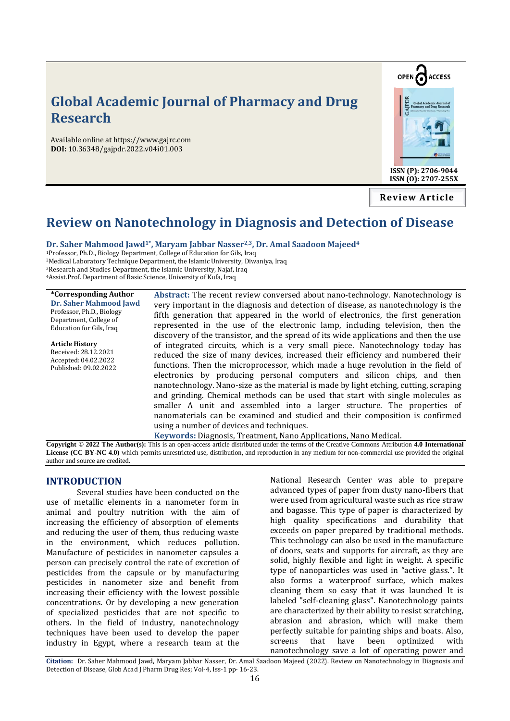# **Global Academic Journal of Pharmacy and Drug Research**

Available online at https://www.gajrc.com **DOI:** 10.36348/gajpdr.2022.v04i01.003



**ISSN (P): 2706-9044 ISSN (O): 2707-255X**

**Review Article**

## **Review on Nanotechnology in Diagnosis and Detection of Disease**

**Dr. Saher Mahmood Jawd1\*, Maryam Jabbar Nasser2,3, Dr. Amal Saadoon Majeed<sup>4</sup>** 

Professor, Ph.D., Biology Department, College of Education for Gils, Iraq Medical Laboratory Technique Department, the Islamic University, Diwaniya, Iraq Research and Studies Department, the Islamic University, Najaf, Iraq Assist.Prof. Department of Basic Science, University of Kufa, Iraq

| <i>*Corresponding Author</i>                                                    | Abstract: The recent review conversed about nano-technology. Nanotechnology is        |
|---------------------------------------------------------------------------------|---------------------------------------------------------------------------------------|
| <b>Dr. Saher Mahmood Jawd</b>                                                   |                                                                                       |
| Professor, Ph.D., Biology<br>Department, College of<br>Education for Gils, Iraq | very important in the diagnosis and detection of disease, as nanotechnology is the    |
|                                                                                 | fifth generation that appeared in the world of electronics, the first generation      |
|                                                                                 | represented in the use of the electronic lamp, including television, then the         |
|                                                                                 | discovery of the transistor, and the spread of its wide applications and then the use |
| <b>Article History</b>                                                          | of integrated circuits, which is a very small piece. Nanotechnology today has         |
| Received: 28.12.2021<br>Accepted: 04.02.2022<br>Published: 09.02.2022           | reduced the size of many devices, increased their efficiency and numbered their       |
|                                                                                 | functions. Then the microprocessor, which made a huge revolution in the field of      |
|                                                                                 | electronics by producing personal computers and silicon chips, and then               |
|                                                                                 | nanotechnology. Nano-size as the material is made by light etching, cutting, scraping |
|                                                                                 | and grinding. Chemical methods can be used that start with single molecules as        |
|                                                                                 | smaller A unit and assembled into a larger structure. The properties of               |
|                                                                                 | nanomaterials can be examined and studied and their composition is confirmed          |
|                                                                                 | using a number of devices and techniques.                                             |
|                                                                                 |                                                                                       |
|                                                                                 | Keywords: Diagnosis, Treatment, Nano Applications, Nano Medical.                      |

**Copyright © 2022 The Author(s):** This is an open-access article distributed under the terms of the Creative Commons Attribution **4.0 International License (CC BY-NC 4.0)** which permits unrestricted use, distribution, and reproduction in any medium for non-commercial use provided the original author and source are credited.

### **INTRODUCTION**

Several studies have been conducted on the use of metallic elements in a nanometer form in animal and poultry nutrition with the aim of increasing the efficiency of absorption of elements and reducing the user of them, thus reducing waste in the environment, which reduces pollution. Manufacture of pesticides in nanometer capsules a person can precisely control the rate of excretion of pesticides from the capsule or by manufacturing pesticides in nanometer size and benefit from increasing their efficiency with the lowest possible concentrations. Or by developing a new generation of specialized pesticides that are not specific to others. In the field of industry, nanotechnology techniques have been used to develop the paper industry in Egypt, where a research team at the

National Research Center was able to prepare advanced types of paper from dusty nano-fibers that were used from agricultural waste such as rice straw and bagasse. This type of paper is characterized by high quality specifications and durability that exceeds on paper prepared by traditional methods. This technology can also be used in the manufacture of doors, seats and supports for aircraft, as they are solid, highly flexible and light in weight. A specific type of nanoparticles was used in "active glass.". It also forms a waterproof surface, which makes cleaning them so easy that it was launched It is labeled "self-cleaning glass". Nanotechnology paints are characterized by their ability to resist scratching, abrasion and abrasion, which will make them perfectly suitable for painting ships and boats. Also, screens that have been optimized with nanotechnology save a lot of operating power and

**Citation:** Dr. Saher Mahmood Jawd, Maryam Jabbar Nasser, Dr. Amal Saadoon Majeed (2022). Review on Nanotechnology in Diagnosis and Detection of Disease, Glob Acad J Pharm Drug Res; Vol-4, Iss-1 pp- 16-23.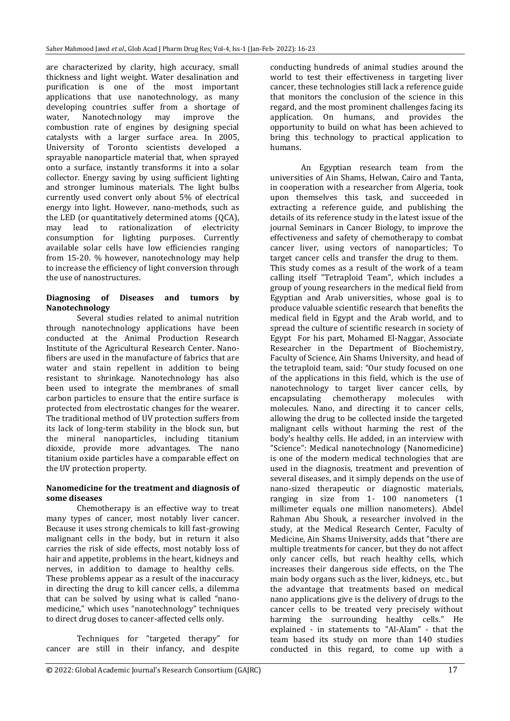are characterized by clarity, high accuracy, small thickness and light weight. Water desalination and purification is one of the most important applications that use nanotechnology, as many developing countries suffer from a shortage of water, Nanotechnology may improve the combustion rate of engines by designing special catalysts with a larger surface area. In 2005, University of Toronto scientists developed a sprayable nanoparticle material that, when sprayed onto a surface, instantly transforms it into a solar collector. Energy saving by using sufficient lighting and stronger luminous materials. The light bulbs currently used convert only about 5% of electrical energy into light. However, nano-methods, such as the LED (or quantitatively determined atoms (QCA), may lead to rationalization of electricity consumption for lighting purposes. Currently available solar cells have low efficiencies ranging from 15-20. % however, nanotechnology may help to increase the efficiency of light conversion through the use of nanostructures.

## **Diagnosing of Diseases and tumors by Nanotechnology**

Several studies related to animal nutrition through nanotechnology applications have been conducted at the Animal Production Research Institute of the Agricultural Research Center. Nanofibers are used in the manufacture of fabrics that are water and stain repellent in addition to being resistant to shrinkage. Nanotechnology has also been used to integrate the membranes of small carbon particles to ensure that the entire surface is protected from electrostatic changes for the wearer. The traditional method of UV protection suffers from its lack of long-term stability in the block sun, but the mineral nanoparticles, including titanium dioxide, provide more advantages. The nano titanium oxide particles have a comparable effect on the UV protection property.

### **Nanomedicine for the treatment and diagnosis of some diseases**

Chemotherapy is an effective way to treat many types of cancer, most notably liver cancer. Because it uses strong chemicals to kill fast-growing malignant cells in the body, but in return it also carries the risk of side effects, most notably loss of hair and appetite, problems in the heart, kidneys and nerves, in addition to damage to healthy cells. These problems appear as a result of the inaccuracy in directing the drug to kill cancer cells, a dilemma that can be solved by using what is called "nanomedicine," which uses "nanotechnology" techniques to direct drug doses to cancer-affected cells only.

Techniques for "targeted therapy" for cancer are still in their infancy, and despite conducting hundreds of animal studies around the world to test their effectiveness in targeting liver cancer, these technologies still lack a reference guide that monitors the conclusion of the science in this regard, and the most prominent challenges facing its application. On humans, and provides the opportunity to build on what has been achieved to bring this technology to practical application to humans.

An Egyptian research team from the universities of Ain Shams, Helwan, Cairo and Tanta, in cooperation with a researcher from Algeria, took upon themselves this task, and succeeded in extracting a reference guide, and publishing the details of its reference study in the latest issue of the journal Seminars in Cancer Biology, to improve the effectiveness and safety of chemotherapy to combat cancer liver, using vectors of nanoparticles; To target cancer cells and transfer the drug to them. This study comes as a result of the work of a team calling itself "Tetraploid Team", which includes a group of young researchers in the medical field from Egyptian and Arab universities, whose goal is to produce valuable scientific research that benefits the medical field in Egypt and the Arab world, and to spread the culture of scientific research in society of Egypt For his part, Mohamed El-Naggar, Associate Researcher in the Department of Biochemistry, Faculty of Science, Ain Shams University, and head of the tetraploid team, said: "Our study focused on one of the applications in this field, which is the use of nanotechnology to target liver cancer cells, by encapsulating chemotherapy molecules with molecules. Nano, and directing it to cancer cells, allowing the drug to be collected inside the targeted malignant cells without harming the rest of the body's healthy cells. He added, in an interview with "Science": Medical nanotechnology (Nanomedicine) is one of the modern medical technologies that are used in the diagnosis, treatment and prevention of several diseases, and it simply depends on the use of nano-sized therapeutic or diagnostic materials, ranging in size from 1- 100 nanometers (1 millimeter equals one million nanometers). Abdel Rahman Abu Shouk, a researcher involved in the study, at the Medical Research Center, Faculty of Medicine, Ain Shams University, adds that "there are multiple treatments for cancer, but they do not affect only cancer cells, but reach healthy cells, which increases their dangerous side effects, on the The main body organs such as the liver, kidneys, etc., but the advantage that treatments based on medical nano applications give is the delivery of drugs to the cancer cells to be treated very precisely without harming the surrounding healthy cells." He explained - in statements to "Al-Alam" - that the team based its study on more than 140 studies conducted in this regard, to come up with a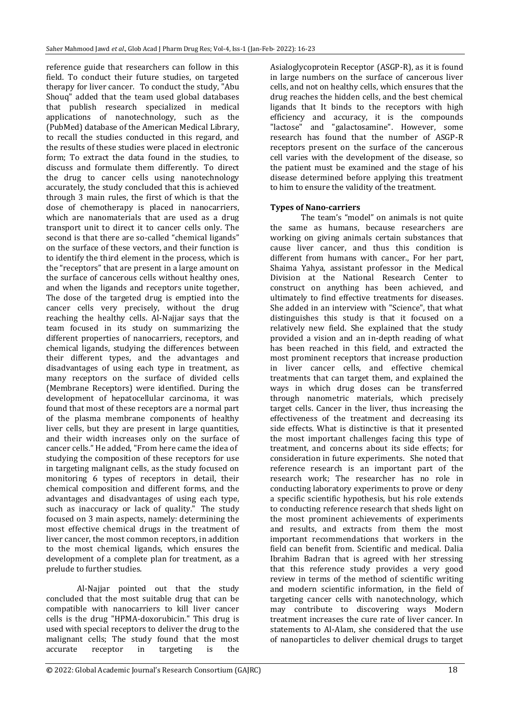reference guide that researchers can follow in this field. To conduct their future studies, on targeted therapy for liver cancer. To conduct the study, "Abu Shouq" added that the team used global databases that publish research specialized in medical applications of nanotechnology, such as the (PubMed) database of the American Medical Library, to recall the studies conducted in this regard, and the results of these studies were placed in electronic form; To extract the data found in the studies, to discuss and formulate them differently. To direct the drug to cancer cells using nanotechnology accurately, the study concluded that this is achieved through 3 main rules, the first of which is that the dose of chemotherapy is placed in nanocarriers, which are nanomaterials that are used as a drug transport unit to direct it to cancer cells only. The second is that there are so-called "chemical ligands" on the surface of these vectors, and their function is to identify the third element in the process, which is the "receptors" that are present in a large amount on the surface of cancerous cells without healthy ones, and when the ligands and receptors unite together, The dose of the targeted drug is emptied into the cancer cells very precisely, without the drug reaching the healthy cells. Al-Najjar says that the team focused in its study on summarizing the different properties of nanocarriers, receptors, and chemical ligands, studying the differences between their different types, and the advantages and disadvantages of using each type in treatment, as many receptors on the surface of divided cells (Membrane Receptors) were identified. During the development of hepatocellular carcinoma, it was found that most of these receptors are a normal part of the plasma membrane components of healthy liver cells, but they are present in large quantities, and their width increases only on the surface of cancer cells." He added, "From here came the idea of studying the composition of these receptors for use in targeting malignant cells, as the study focused on monitoring 6 types of receptors in detail, their chemical composition and different forms, and the advantages and disadvantages of using each type, such as inaccuracy or lack of quality." The study focused on 3 main aspects, namely: determining the most effective chemical drugs in the treatment of liver cancer, the most common receptors, in addition to the most chemical ligands, which ensures the development of a complete plan for treatment, as a prelude to further studies.

Al-Najjar pointed out that the study concluded that the most suitable drug that can be compatible with nanocarriers to kill liver cancer cells is the drug "HPMA-doxorubicin." This drug is used with special receptors to deliver the drug to the malignant cells; The study found that the most accurate receptor in targeting is the

Asialoglycoprotein Receptor (ASGP-R), as it is found in large numbers on the surface of cancerous liver cells, and not on healthy cells, which ensures that the drug reaches the hidden cells, and the best chemical ligands that It binds to the receptors with high efficiency and accuracy, it is the compounds "lactose" and "galactosamine". However, some research has found that the number of ASGP-R receptors present on the surface of the cancerous cell varies with the development of the disease, so the patient must be examined and the stage of his disease determined before applying this treatment to him to ensure the validity of the treatment.

## **Types of Nano-carriers**

The team's "model" on animals is not quite the same as humans, because researchers are working on giving animals certain substances that cause liver cancer, and thus this condition is different from humans with cancer., For her part, Shaima Yahya, assistant professor in the Medical Division at the National Research Center to construct on anything has been achieved, and ultimately to find effective treatments for diseases. She added in an interview with "Science", that what distinguishes this study is that it focused on a relatively new field. She explained that the study provided a vision and an in-depth reading of what has been reached in this field, and extracted the most prominent receptors that increase production in liver cancer cells, and effective chemical treatments that can target them, and explained the ways in which drug doses can be transferred through nanometric materials, which precisely target cells. Cancer in the liver, thus increasing the effectiveness of the treatment and decreasing its side effects. What is distinctive is that it presented the most important challenges facing this type of treatment, and concerns about its side effects; for consideration in future experiments. She noted that reference research is an important part of the research work; The researcher has no role in conducting laboratory experiments to prove or deny a specific scientific hypothesis, but his role extends to conducting reference research that sheds light on the most prominent achievements of experiments and results, and extracts from them the most important recommendations that workers in the field can benefit from. Scientific and medical. Dalia Ibrahim Badran that is agreed with her stressing that this reference study provides a very good review in terms of the method of scientific writing and modern scientific information, in the field of targeting cancer cells with nanotechnology, which may contribute to discovering ways Modern treatment increases the cure rate of liver cancer. In statements to Al-Alam, she considered that the use of nanoparticles to deliver chemical drugs to target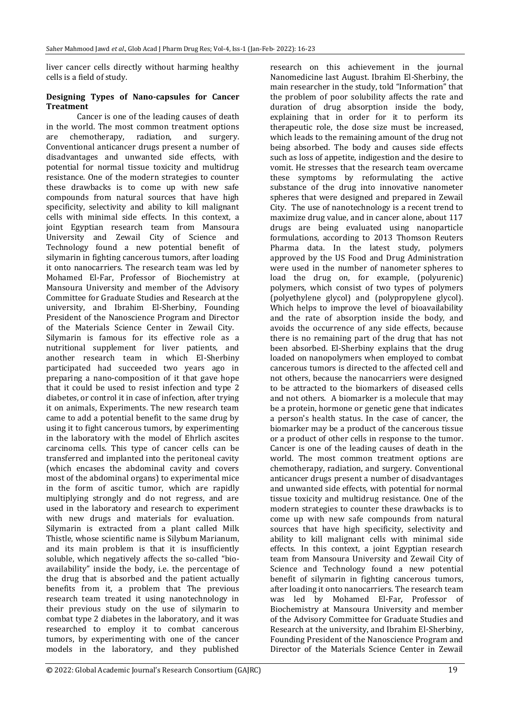liver cancer cells directly without harming healthy cells is a field of study.

#### **Designing Types of Nano-capsules for Cancer Treatment**

Cancer is one of the leading causes of death in the world. The most common treatment options are chemotherapy, radiation, and surgery. Conventional anticancer drugs present a number of disadvantages and unwanted side effects, with potential for normal tissue toxicity and multidrug resistance. One of the modern strategies to counter these drawbacks is to come up with new safe compounds from natural sources that have high specificity, selectivity and ability to kill malignant cells with minimal side effects. In this context, a joint Egyptian research team from Mansoura University and Zewail City of Science and Technology found a new potential benefit of silymarin in fighting cancerous tumors, after loading it onto nanocarriers. The research team was led by Mohamed El-Far, Professor of Biochemistry at Mansoura University and member of the Advisory Committee for Graduate Studies and Research at the university, and Ibrahim El-Sherbiny, Founding President of the Nanoscience Program and Director of the Materials Science Center in Zewail City. Silymarin is famous for its effective role as a nutritional supplement for liver patients, and another research team in which El-Sherbiny participated had succeeded two years ago in preparing a nano-composition of it that gave hope that it could be used to resist infection and type 2 diabetes, or control it in case of infection, after trying it on animals, Experiments. The new research team came to add a potential benefit to the same drug by using it to fight cancerous tumors, by experimenting in the laboratory with the model of Ehrlich ascites carcinoma cells. This type of cancer cells can be transferred and implanted into the peritoneal cavity (which encases the abdominal cavity and covers most of the abdominal organs) to experimental mice in the form of ascitic tumor, which are rapidly multiplying strongly and do not regress, and are used in the laboratory and research to experiment with new drugs and materials for evaluation. Silymarin is extracted from a plant called Milk Thistle, whose scientific name is Silybum Marianum, and its main problem is that it is insufficiently soluble, which negatively affects the so-called "bioavailability" inside the body, i.e. the percentage of the drug that is absorbed and the patient actually benefits from it, a problem that The previous research team treated it using nanotechnology in their previous study on the use of silymarin to combat type 2 diabetes in the laboratory, and it was researched to employ it to combat cancerous tumors, by experimenting with one of the cancer models in the laboratory, and they published

research on this achievement in the journal Nanomedicine last August. Ibrahim El-Sherbiny, the main researcher in the study, told "Information" that the problem of poor solubility affects the rate and duration of drug absorption inside the body, explaining that in order for it to perform its therapeutic role, the dose size must be increased, which leads to the remaining amount of the drug not being absorbed. The body and causes side effects such as loss of appetite, indigestion and the desire to vomit. He stresses that the research team overcame these symptoms by reformulating the active substance of the drug into innovative nanometer spheres that were designed and prepared in Zewail City. The use of nanotechnology is a recent trend to maximize drug value, and in cancer alone, about 117 drugs are being evaluated using nanoparticle formulations, according to 2013 Thomson Reuters Pharma data. In the latest study, polymers approved by the US Food and Drug Administration were used in the number of nanometer spheres to load the drug on, for example, (polyurenic) polymers, which consist of two types of polymers (polyethylene glycol) and (polypropylene glycol). Which helps to improve the level of bioavailability and the rate of absorption inside the body, and avoids the occurrence of any side effects, because there is no remaining part of the drug that has not been absorbed. El-Sherbiny explains that the drug loaded on nanopolymers when employed to combat cancerous tumors is directed to the affected cell and not others, because the nanocarriers were designed to be attracted to the biomarkers of diseased cells and not others. A biomarker is a molecule that may be a protein, hormone or genetic gene that indicates a person's health status. In the case of cancer, the biomarker may be a product of the cancerous tissue or a product of other cells in response to the tumor. Cancer is one of the leading causes of death in the world. The most common treatment options are chemotherapy, radiation, and surgery. Conventional anticancer drugs present a number of disadvantages and unwanted side effects, with potential for normal tissue toxicity and multidrug resistance. One of the modern strategies to counter these drawbacks is to come up with new safe compounds from natural sources that have high specificity, selectivity and ability to kill malignant cells with minimal side effects. In this context, a joint Egyptian research team from Mansoura University and Zewail City of Science and Technology found a new potential benefit of silymarin in fighting cancerous tumors, after loading it onto nanocarriers. The research team was led by Mohamed El-Far, Professor of Biochemistry at Mansoura University and member of the Advisory Committee for Graduate Studies and Research at the university, and Ibrahim El-Sherbiny, Founding President of the Nanoscience Program and Director of the Materials Science Center in Zewail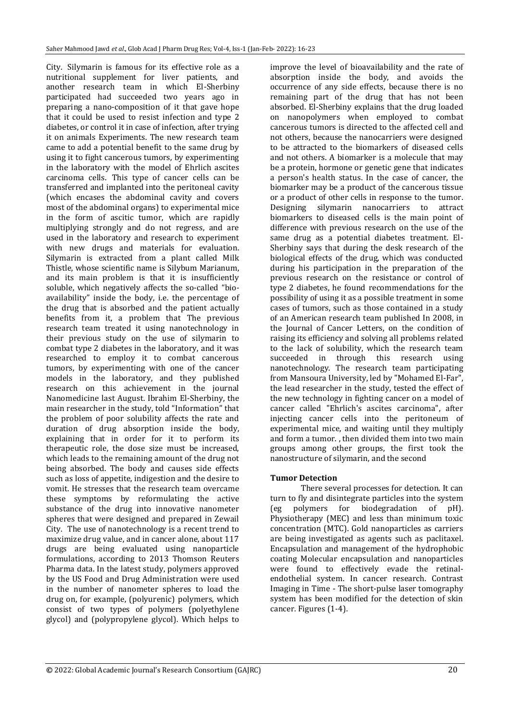City. Silymarin is famous for its effective role as a nutritional supplement for liver patients, and another research team in which El-Sherbiny participated had succeeded two years ago in preparing a nano-composition of it that gave hope that it could be used to resist infection and type 2 diabetes, or control it in case of infection, after trying it on animals Experiments. The new research team came to add a potential benefit to the same drug by using it to fight cancerous tumors, by experimenting in the laboratory with the model of Ehrlich ascites carcinoma cells. This type of cancer cells can be transferred and implanted into the peritoneal cavity (which encases the abdominal cavity and covers most of the abdominal organs) to experimental mice in the form of ascitic tumor, which are rapidly multiplying strongly and do not regress, and are used in the laboratory and research to experiment with new drugs and materials for evaluation. Silymarin is extracted from a plant called Milk Thistle, whose scientific name is Silybum Marianum, and its main problem is that it is insufficiently soluble, which negatively affects the so-called "bioavailability" inside the body, i.e. the percentage of the drug that is absorbed and the patient actually benefits from it, a problem that The previous research team treated it using nanotechnology in their previous study on the use of silymarin to combat type 2 diabetes in the laboratory, and it was researched to employ it to combat cancerous tumors, by experimenting with one of the cancer models in the laboratory, and they published research on this achievement in the journal Nanomedicine last August. Ibrahim El-Sherbiny, the main researcher in the study, told "Information" that the problem of poor solubility affects the rate and duration of drug absorption inside the body, explaining that in order for it to perform its therapeutic role, the dose size must be increased, which leads to the remaining amount of the drug not being absorbed. The body and causes side effects such as loss of appetite, indigestion and the desire to vomit. He stresses that the research team overcame these symptoms by reformulating the active substance of the drug into innovative nanometer spheres that were designed and prepared in Zewail City. The use of nanotechnology is a recent trend to maximize drug value, and in cancer alone, about 117 drugs are being evaluated using nanoparticle formulations, according to 2013 Thomson Reuters Pharma data. In the latest study, polymers approved by the US Food and Drug Administration were used in the number of nanometer spheres to load the drug on, for example, (polyurenic) polymers, which consist of two types of polymers (polyethylene glycol) and (polypropylene glycol). Which helps to

improve the level of bioavailability and the rate of absorption inside the body, and avoids the occurrence of any side effects, because there is no remaining part of the drug that has not been absorbed. El-Sherbiny explains that the drug loaded on nanopolymers when employed to combat cancerous tumors is directed to the affected cell and not others, because the nanocarriers were designed to be attracted to the biomarkers of diseased cells and not others. A biomarker is a molecule that may be a protein, hormone or genetic gene that indicates a person's health status. In the case of cancer, the biomarker may be a product of the cancerous tissue or a product of other cells in response to the tumor. Designing silymarin nanocarriers to attract biomarkers to diseased cells is the main point of difference with previous research on the use of the same drug as a potential diabetes treatment. El-Sherbiny says that during the desk research of the biological effects of the drug, which was conducted during his participation in the preparation of the previous research on the resistance or control of type 2 diabetes, he found recommendations for the possibility of using it as a possible treatment in some cases of tumors, such as those contained in a study of an American research team published In 2008, in the Journal of Cancer Letters, on the condition of raising its efficiency and solving all problems related to the lack of solubility, which the research team succeeded in through this research using nanotechnology. The research team participating from Mansoura University, led by "Mohamed El-Far", the lead researcher in the study, tested the effect of the new technology in fighting cancer on a model of cancer called "Ehrlich's ascites carcinoma", after injecting cancer cells into the peritoneum of experimental mice, and waiting until they multiply and form a tumor. , then divided them into two main groups among other groups, the first took the nanostructure of silymarin, and the second

### **Tumor Detection**

There several processes for detection. It can turn to fly and disintegrate particles into the system (eg polymers for biodegradation of pH). Physiotherapy (MEC) and less than minimum toxic concentration (MTC). Gold nanoparticles as carriers are being investigated as agents such as paclitaxel. Encapsulation and management of the hydrophobic coating Molecular encapsulation and nanoparticles were found to effectively evade the retinalendothelial system. In cancer research. Contrast Imaging in Time - The short-pulse laser tomography system has been modified for the detection of skin cancer. Figures (1-4).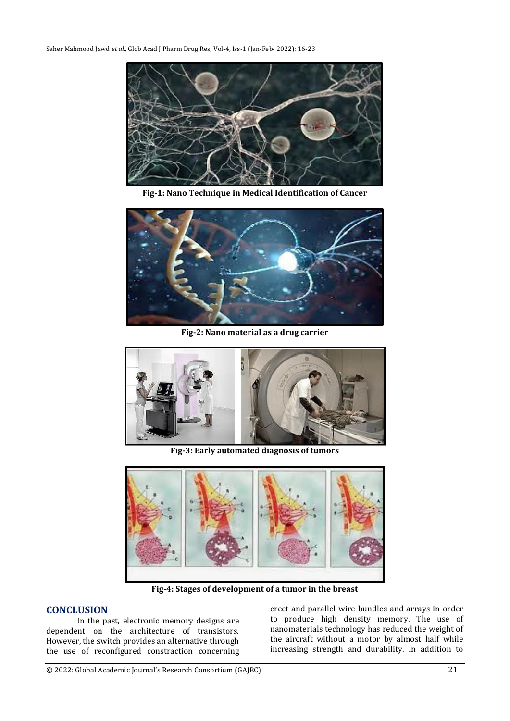

**Fig-1: Nano Technique in Medical Identification of Cancer**



**Fig-2: Nano material as a drug carrier**



**Fig-3: Early automated diagnosis of tumors**



**Fig-4: Stages of development of a tumor in the breast**

## **CONCLUSION**

In the past, electronic memory designs are dependent on the architecture of transistors. However, the switch provides an alternative through the use of reconfigured constraction concerning

erect and parallel wire bundles and arrays in order to produce high density memory. The use of nanomaterials technology has reduced the weight of the aircraft without a motor by almost half while increasing strength and durability. In addition to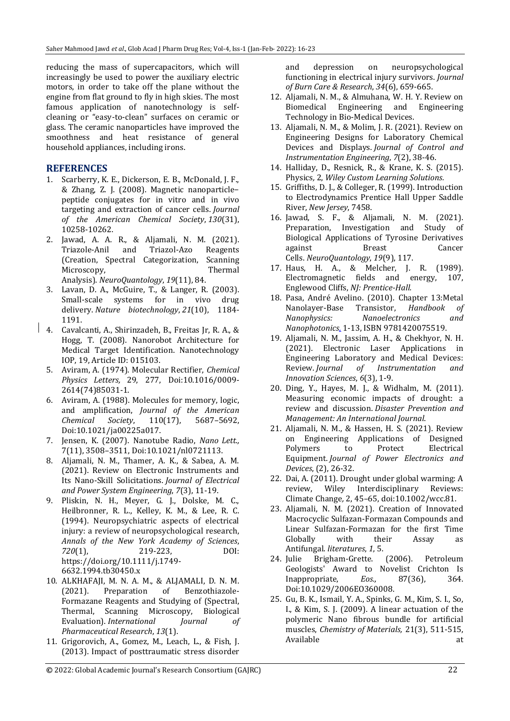reducing the mass of supercapacitors, which will increasingly be used to power the auxiliary electric motors, in order to take off the plane without the engine from flat ground to fly in high skies. The most famous application of nanotechnology is selfcleaning or "easy-to-clean" surfaces on ceramic or glass. The ceramic nanoparticles have improved the smoothness and heat resistance of general household appliances, including irons.

## **REFERENCES**

- 1. Scarberry, K. E., Dickerson, E. B., McDonald, J. F., & Zhang, Z. J. (2008). Magnetic nanoparticle− peptide conjugates for in vitro and in vivo targeting and extraction of cancer cells. *Journal of the American Chemical Society*, *130*(31), 10258-10262.
- 2. Jawad, A. A. R., & Aljamali, N. M. (2021). Triazole-Anil and Triazol-Azo Reagents (Creation, Spectral Categorization, Scanning Microscopy. Thermal Analysis). *NeuroQuantology*, *19*(11), 84.
- 3. Lavan, D. A., McGuire, T., & Langer, R. (2003). Small-scale systems for in vivo drug delivery. *Nature biotechnology*, *21*(10), 1184- 1191.
- 4. Cavalcanti, A., Shirinzadeh, B., Freitas Jr, R. A., & Hogg, T. (2008). Nanorobot Architecture for Medical Target Identification. Nanotechnology IOP, 19, Article ID: 015103.
- 5. Aviram, A. (1974). Molecular Rectifier, *[Chemical](https://ar.wikipedia.org/w/index.php?title=Chemical_Physics_Letters&action=edit&redlink=1)  [Physics Letters,](https://ar.wikipedia.org/w/index.php?title=Chemical_Physics_Letters&action=edit&redlink=1)* 29, 277, [Doi:](https://ar.wikipedia.org/wiki/%D9%85%D8%B9%D8%B1%D9%81_%D8%A7%D9%84%D8%BA%D8%B1%D8%B6_%D8%A7%D9%84%D8%B1%D9%82%D9%85%D9%8A)[10.1016/0009-](https://doi.org/10.1016%2F0009-2614%2874%2985031-1) [2614\(74\)85031-1.](https://doi.org/10.1016%2F0009-2614%2874%2985031-1)
- 6. Aviram, A. (1988). Molecules for memory, logic, and amplification, *[Journal of the American](https://ar.wikipedia.org/w/index.php?title=Journal_of_the_American_Chemical_Society&action=edit&redlink=1)  [Chemical Society](https://ar.wikipedia.org/w/index.php?title=Journal_of_the_American_Chemical_Society&action=edit&redlink=1)*, 110(17), 5687–5692, [Doi:](https://ar.wikipedia.org/wiki/%D9%85%D8%B9%D8%B1%D9%81_%D8%A7%D9%84%D8%BA%D8%B1%D8%B6_%D8%A7%D9%84%D8%B1%D9%82%D9%85%D9%8A)[10.1021/ja00225a017.](https://doi.org/10.1021%2Fja00225a017)
- 7. Jensen, K. (2007). [Nanotube Radio,](https://web.archive.org/web/20181118185639/https:/pubs.acs.org/doi/abs/10.1021/nl0721113) *Nano Lett.,* 7(11), 3508–3511, [Doi:](https://ar.wikipedia.org/wiki/%D9%85%D8%B9%D8%B1%D9%81_%D8%A7%D9%84%D8%BA%D8%B1%D8%B6_%D8%A7%D9%84%D8%B1%D9%82%D9%85%D9%8A)[10.1021/nl0721113.](https://doi.org/10.1021%2Fnl0721113)
- 8. Aljamali, N. M., Thamer, A. K., & Sabea, A. M. (2021). Review on Electronic Instruments and Its Nano-Skill Solicitations. *Journal of Electrical and Power System Engineering*, *7*(3), 11-19.
- 9. Pliskin, N. H., Meyer, G. J., Dolske, M. C., Heilbronner, R. L., Kelley, K. M., & Lee, R. C. (1994). Neuropsychiatric aspects of electrical injury: a review of neuropsychological research, *Annals of the New York Academy of Sciences*, *720*(1), 219-223, DOI: [https://doi.org/10.1111/j.1749-](https://doi.org/10.1111/j.1749-6632.1994.tb30450.x) [6632.1994.tb30450.x](https://doi.org/10.1111/j.1749-6632.1994.tb30450.x)
- 10. ALKHAFAJI, M. N. A. M., & ALJAMALI, D. N. M. (2021). Preparation of Benzothiazole-Formazane Reagents and Studying of (Spectral, Thermal, Scanning Microscopy, Biological Evaluation). *International Journal of Pharmaceutical Research*, *13*(1).
- 11. Grigorovich, A., Gomez, M., Leach, L., & Fish, J. (2013). Impact of posttraumatic stress disorder

and depression on neuropsychological functioning in electrical injury survivors. *Journal of Burn Care & Research*, *34*(6), 659-665.

- 12. Aljamali, N. M., & Almuhana, W. H. Y. Review on Biomedical Engineering and Engineering Technology in Bio-Medical Devices.
- 13. Aljamali, N. M., & Molim, J. R. (2021). Review on Engineering Designs for Laboratory Chemical Devices and Displays. *Journal of Control and Instrumentation Engineering*, *7*(2), 38-46.
- 14. Halliday, D., Resnick, R., & Krane, K. S. (2015). Physics*,* 2, *Wiley Custom Learning Solutions.*
- 15. Griffiths, D. J., & Colleger, R. (1999). Introduction to Electrodynamics Prentice Hall Upper Saddle River, *New Jersey*, 7458.
- 16. Jawad, S. F., & Aljamali, N. M. (2021). Preparation, Investigation and Study of Biological Applications of Tyrosine Derivatives against Breast Cancer Cells. *NeuroQuantology*, *19*(9), 117.
- 17. Haus, H. A., & Melcher, J. R. (1989). Electromagnetic fields and energy, 107, Englewood Cliffs, *NJ: Prentice-Hall.*
- 18. Pasa, André Avelino. (2010). [Chapter 13:Metal](https://books.google.com/books?id=a3kJAMALo0MC&pg=SA13-PA1)  [Nanolayer-Base Transistor,](https://books.google.com/books?id=a3kJAMALo0MC&pg=SA13-PA1) *Handbook of Nanophysics: Nanoelectronics and Nanophotonics,* 1-13, [ISBN](https://ar.wikipedia.org/wiki/%D8%B1%D9%82%D9%85_%D8%A7%D9%84%D9%83%D8%AA%D8%A7%D8%A8_%D8%A7%D9%84%D9%85%D8%B9%D9%8A%D8%A7%D8%B1%D9%8A_%D8%A7%D9%84%D8%AF%D9%88%D9%84%D9%8A) [9781420075519.](https://ar.wikipedia.org/wiki/%D8%AE%D8%A7%D8%B5:%D9%85%D8%B5%D8%A7%D8%AF%D8%B1_%D9%83%D8%AA%D8%A7%D8%A8/9781420075519)
- 19. Aljamali, N. M., Jassim, A. H., & Chekhyor, N. H. (2021). Electronic Laser Applications in Engineering Laboratory and Medical Devices: Review. *Journal of Instrumentation and Innovation Sciences*, *6*(3), 1-9.
- 20. Ding, Y., Hayes, M. J., & Widhalm, M. (2011). Measuring economic impacts of drought: a review and discussion. *Disaster Prevention and Management: An International Journal*.
- 21. Aljamali, N. M., & Hassen, H. S. (2021). Review on Engineering Applications of Designed Polymers to Protect Electrical Equipment. *Journal of Power Electronics and Devices*, (2), 26-32.
- 22. Dai, A. (2011). Drought under global warming: A review, Wiley Interdisciplinary Reviews: Climate Change*,* 2, 45–65[, doi](https://ar.wikipedia.org/wiki/%D9%85%D8%B9%D8%B1%D9%81_%D8%A7%D9%84%D8%BA%D8%B1%D8%B6_%D8%A7%D9%84%D8%B1%D9%82%D9%85%D9%8A)[:10.1002/wcc.81.](https://doi.org/10.1002%2Fwcc.81)
- 23. Aljamali, N. M. (2021). Creation of Innovated Macrocyclic Sulfazan-Formazan Compounds and Linear Sulfazan-Formazan for the first Time Globally with their Assay as Antifungal. *literatures*, *1*, 5.
- 24. Julie Brigham-Grette. (2006). [Petroleum](https://web.archive.org/web/20200914024719/https:/dx.doi.org/10.1029%2F2006EO360008/)  [Geologists' Award to Novelist Crichton Is](https://web.archive.org/web/20200914024719/https:/dx.doi.org/10.1029%2F2006EO360008/)  [Inappropriate,](https://web.archive.org/web/20200914024719/https:/dx.doi.org/10.1029%2F2006EO360008/) *[Eos.,](https://ar.wikipedia.org/w/index.php?title=Eos_(journal)&action=edit&redlink=1)* 87(36), 364. [Doi:](https://ar.wikipedia.org/wiki/%D9%85%D8%B9%D8%B1%D9%81_%D8%A7%D9%84%D8%BA%D8%B1%D8%B6_%D8%A7%D9%84%D8%B1%D9%82%D9%85%D9%8A)[10.1029/2006EO360008.](https://doi.org/10.1029%2F2006EO360008)
- 25. Gu, B. K., Ismail, Y. A., Spinks, G. M., Kim, S. I., So, I., & Kim, S. J. (2009). A linear actuation of the polymeric Nano fibrous bundle for artificial muscles, *Chemistry of Materials,* 21(3), 511-515, Available at a state at a state at a state and state at a state at a state at a state at a state at a state at  $\alpha$